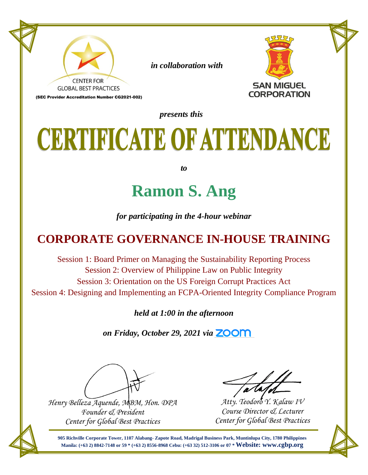

 *in collaboration with*



(SEC Provider Accreditation Number CG2021-002)

*presents this*

## CERTIFICATE OF ATTENDANCE

*to*

#### **Ramon S. Ang**

*for participating in the 4-hour webinar*

#### **CORPORATE GOVERNANCE IN-HOUSE TRAINING**

Session 1: Board Primer on Managing the Sustainability Reporting Process Session 2: Overview of Philippine Law on Public Integrity Session 3: Orientation on the US Foreign Corrupt Practices Act Session 4: Designing and Implementing an FCPA-Oriented Integrity Compliance Program

*held at 1:00 in the afternoon*

*on Friday, October 29, 2021 via* **ZOOM** 

*Henry Belleza Aquende, MBM, Hon. DPA Founder & President Center for Global Best Practices*

*Atty. Teodoro Y. Kalaw IV Course Director & Lecturer Center for Global Best Practices*

**905 Richville Corporate Tower, 1107 Alabang- Zapote Road, Madrigal Business Park, Muntinlupa City, 1780 Philippines Manila: (+63 2) 8842-7148 or 59 \* (+63 2) 8556-8968 Cebu: (+63 32) 512-3106 or 07 \* Website: www.cgbp.org**

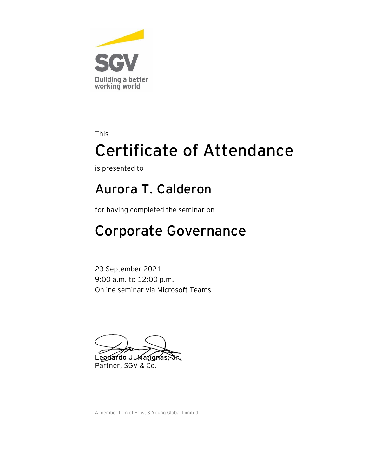

is presented to

#### **Aurora T. Calderon**

for having completed the seminar on

#### Corporate Governance

23 September 2021 9:00 a.m. to 12:00 p.m. Online seminar via Microsoft Teams

Leopardo J. Matignas, Partner, SGV & Co.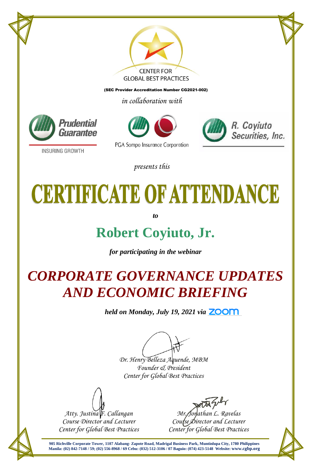

(SEC Provider Accreditation Number CG2021-002)

*in collaboration with*







**INSURING GROWTH** 

#### *presents this*

# **CERTIFICATE OF ATTENDANCE**

*to*

#### **Robert Coyiuto, Jr.**

*for participating in the webinar*

### *CORPORATE GOVERNANCE UPDATES AND ECONOMIC BRIEFING*

*held on Monday, July 19, 2021 via*

*Dr. Henry Belleza Aquende, MBM Founder & President Center for Global Best Practices*

*Atty. Justina F. Callangan Course Director and Lecturer Center for Global Best Practices*

*Mr. Jonathan L. Ravelas Course Director and Lecturer Center for Global Best Practices*

**905 Richville Corporate Tower, 1107 Alabang- Zapote Road, Madrigal Business Park, Muntinlupa City, 1780 Philippines Manila: (02) 842-7148 / 59; (02) 556-8968 / 69 Cebu: (032) 512-3106 / 07 Baguio: (074) 423-5148 Website: [www.cgbp.org](http://www.cgbp.org/)**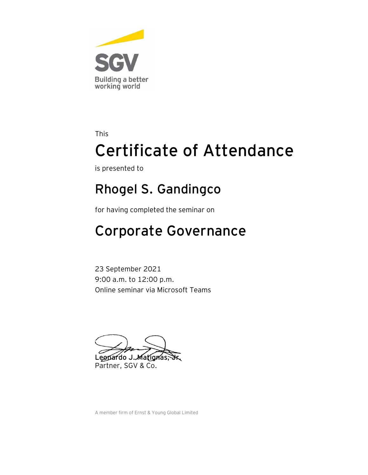

is presented to

#### **Rhogel S. Gandingco**

for having completed the seminar on

#### Corporate Governance

23 September 2021 9:00 a.m. to 12:00 p.m. Online seminar via Microsoft Teams

Leopardo J. Matignas Partner, SGV & Co.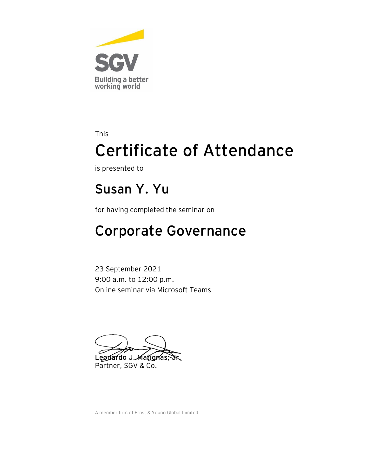

is presented to

#### **Susan Y. Yu**

for having completed the seminar on

#### Corporate Governance

23 September 2021 9:00 a.m. to 12:00 p.m. Online seminar via Microsoft Teams

Leopardo J. Matignas, Partner, SGV & Co.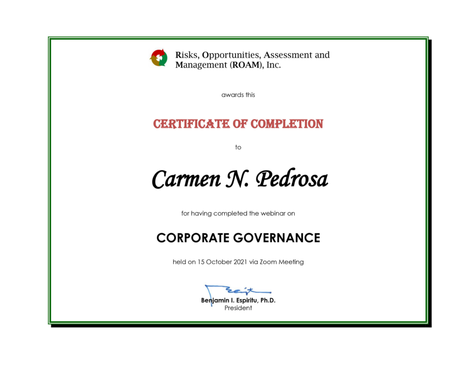

Risks, Opportunities, Assessment and Management (ROAM), Inc.

awards this

#### **CERTIFICATE OF COMPLETION**

 $\mathsf{to}$ 

### Carmen N. Pedrosa

for having completed the webinar on

#### **CORPORATE GOVERNANCE**

held on 15 October 2021 via Zoom Meeting

Benjamin I. Espiritu, Ph.D. President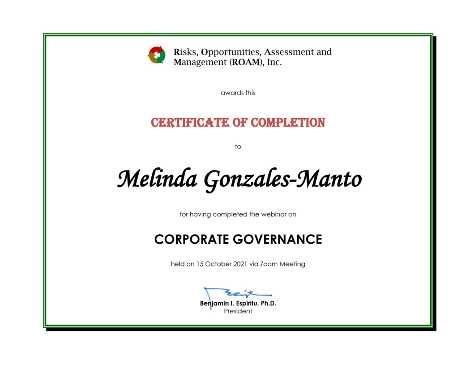

Risks, Opportunities, Assessment and Management (ROAM), Inc.

awards this

#### **CERTIFICATE OF COMPLETION**

to

Melinda Gonzales-Manto

for having completed the webinar on

#### **CORPORATE GOVERNANCE**

held on 15 October 2021 via Zoom Meeting

Benjamin I. Espiritu, Ph.D. President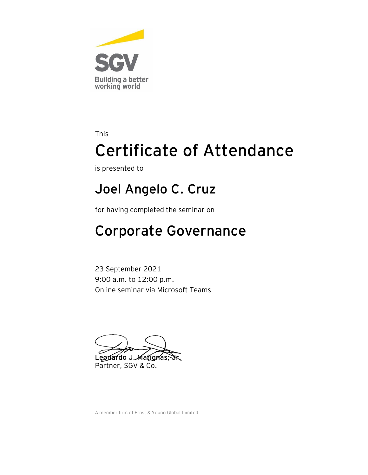

is presented to

#### **Joel Angelo C. Cruz**

for having completed the seminar on

#### Corporate Governance

23 September 2021 9:00 a.m. to 12:00 p.m. Online seminar via Microsoft Teams

Leopardo J. Matignas, Partner, SGV & Co.